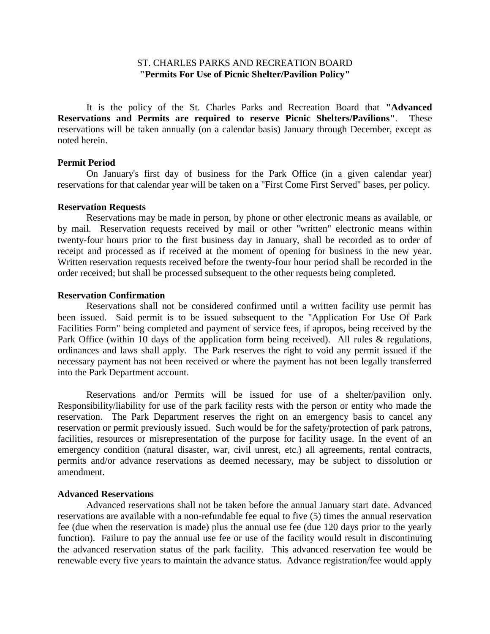## ST. CHARLES PARKS AND RECREATION BOARD **"Permits For Use of Picnic Shelter/Pavilion Policy"**

It is the policy of the St. Charles Parks and Recreation Board that **"Advanced Reservations and Permits are required to reserve Picnic Shelters/Pavilions"**. These reservations will be taken annually (on a calendar basis) January through December, except as noted herein.

### **Permit Period**

On January's first day of business for the Park Office (in a given calendar year) reservations for that calendar year will be taken on a "First Come First Served" bases, per policy.

### **Reservation Requests**

Reservations may be made in person, by phone or other electronic means as available, or by mail. Reservation requests received by mail or other "written" electronic means within twenty-four hours prior to the first business day in January, shall be recorded as to order of receipt and processed as if received at the moment of opening for business in the new year. Written reservation requests received before the twenty-four hour period shall be recorded in the order received; but shall be processed subsequent to the other requests being completed.

## **Reservation Confirmation**

Reservations shall not be considered confirmed until a written facility use permit has been issued. Said permit is to be issued subsequent to the "Application For Use Of Park Facilities Form" being completed and payment of service fees, if apropos, being received by the Park Office (within 10 days of the application form being received). All rules & regulations, ordinances and laws shall apply. The Park reserves the right to void any permit issued if the necessary payment has not been received or where the payment has not been legally transferred into the Park Department account.

Reservations and/or Permits will be issued for use of a shelter/pavilion only. Responsibility/liability for use of the park facility rests with the person or entity who made the reservation. The Park Department reserves the right on an emergency basis to cancel any reservation or permit previously issued. Such would be for the safety/protection of park patrons, facilities, resources or misrepresentation of the purpose for facility usage. In the event of an emergency condition (natural disaster, war, civil unrest, etc.) all agreements, rental contracts, permits and/or advance reservations as deemed necessary, may be subject to dissolution or amendment.

#### **Advanced Reservations**

Advanced reservations shall not be taken before the annual January start date. Advanced reservations are available with a non-refundable fee equal to five (5) times the annual reservation fee (due when the reservation is made) plus the annual use fee (due 120 days prior to the yearly function). Failure to pay the annual use fee or use of the facility would result in discontinuing the advanced reservation status of the park facility. This advanced reservation fee would be renewable every five years to maintain the advance status. Advance registration/fee would apply